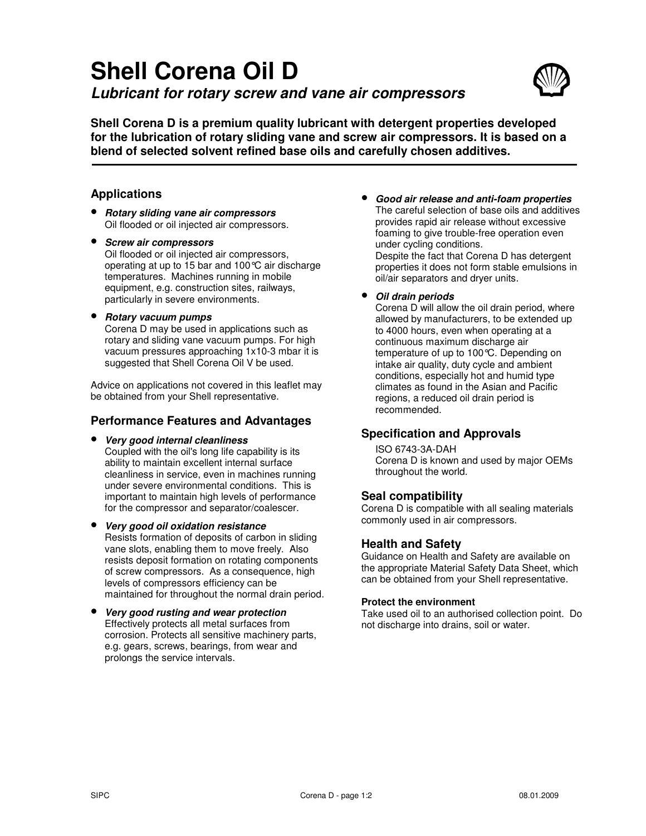# **Shell Corena Oil D Lubricant for rotary screw and vane air compressors**



**Shell Corena D is a premium quality lubricant with detergent properties developed for the lubrication of rotary sliding vane and screw air compressors. It is based on a blend of selected solvent refined base oils and carefully chosen additives.** 

## **Applications**

- **Rotary sliding vane air compressors** Oil flooded or oil injected air compressors.
- **Screw air compressors** Oil flooded or oil injected air compressors, operating at up to 15 bar and 100°C air discharge temperatures. Machines running in mobile equipment, e.g. construction sites, railways, particularly in severe environments.
- **Rotary vacuum pumps**

Corena D may be used in applications such as rotary and sliding vane vacuum pumps. For high vacuum pressures approaching 1x10-3 mbar it is suggested that Shell Corena Oil V be used.

Advice on applications not covered in this leaflet may be obtained from your Shell representative.

## **Performance Features and Advantages**

• **Very good internal cleanliness**  Coupled with the oil's long life capability is its ability to maintain excellent internal surface cleanliness in service, even in machines running under severe environmental conditions. This is important to maintain high levels of performance for the compressor and separator/coalescer.

- **Very good oil oxidation resistance**  Resists formation of deposits of carbon in sliding vane slots, enabling them to move freely. Also resists deposit formation on rotating components of screw compressors. As a consequence, high levels of compressors efficiency can be maintained for throughout the normal drain period.
- **Very good rusting and wear protection**  Effectively protects all metal surfaces from corrosion. Protects all sensitive machinery parts, e.g. gears, screws, bearings, from wear and prolongs the service intervals.

• **Good air release and anti-foam properties**  The careful selection of base oils and additives provides rapid air release without excessive foaming to give trouble-free operation even under cycling conditions. Despite the fact that Corena D has detergent properties it does not form stable emulsions in oil/air separators and dryer units.

#### • **Oil drain periods**

Corena D will allow the oil drain period, where allowed by manufacturers, to be extended up to 4000 hours, even when operating at a continuous maximum discharge air temperature of up to 100°C. Depending on intake air quality, duty cycle and ambient conditions, especially hot and humid type climates as found in the Asian and Pacific regions, a reduced oil drain period is recommended.

## **Specification and Approvals**

ISO 6743-3A-DAH Corena D is known and used by major OEMs throughout the world.

## **Seal compatibility**

Corena D is compatible with all sealing materials commonly used in air compressors.

## **Health and Safety**

Guidance on Health and Safety are available on the appropriate Material Safety Data Sheet, which can be obtained from your Shell representative.

#### **Protect the environment**

Take used oil to an authorised collection point. Do not discharge into drains, soil or water.